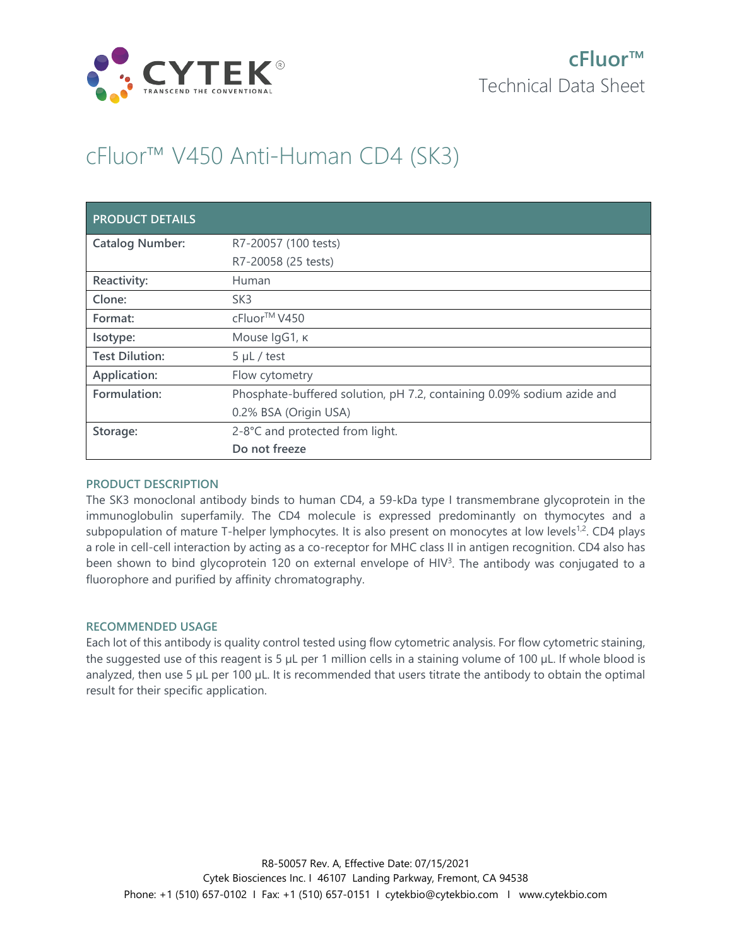

# cFluor™ V450 Anti-Human CD4 (SK3)

| <b>PRODUCT DETAILS</b> |                                                                        |
|------------------------|------------------------------------------------------------------------|
| <b>Catalog Number:</b> | R7-20057 (100 tests)                                                   |
|                        | R7-20058 (25 tests)                                                    |
| Reactivity:            | Human                                                                  |
| Clone:                 | SK <sub>3</sub>                                                        |
| Format:                | cFluor <sup>™</sup> V450                                               |
| Isotype:               | Mouse IgG1, к                                                          |
| <b>Test Dilution:</b>  | $5 \mu L$ / test                                                       |
| Application:           | Flow cytometry                                                         |
| Formulation:           | Phosphate-buffered solution, pH 7.2, containing 0.09% sodium azide and |
|                        | 0.2% BSA (Origin USA)                                                  |
| Storage:               | 2-8°C and protected from light.                                        |
|                        | Do not freeze                                                          |

### **PRODUCT DESCRIPTION**

The SK3 monoclonal antibody binds to human CD4, a 59-kDa type I transmembrane glycoprotein in the immunoglobulin superfamily. The CD4 molecule is expressed predominantly on thymocytes and a subpopulation of mature T-helper lymphocytes. It is also present on monocytes at low levels<sup>1,2</sup>. CD4 plays a role in cell-cell interaction by acting as a co-receptor for MHC class II in antigen recognition. CD4 also has been shown to bind glycoprotein 120 on external envelope of HIV<sup>3</sup>. The antibody was conjugated to a fluorophore and purified by affinity chromatography.

### **RECOMMENDED USAGE**

Each lot of this antibody is quality control tested using flow cytometric analysis. For flow cytometric staining, the suggested use of this reagent is 5 µL per 1 million cells in a staining volume of 100 µL. If whole blood is analyzed, then use 5 µL per 100 µL. It is recommended that users titrate the antibody to obtain the optimal result for their specific application.